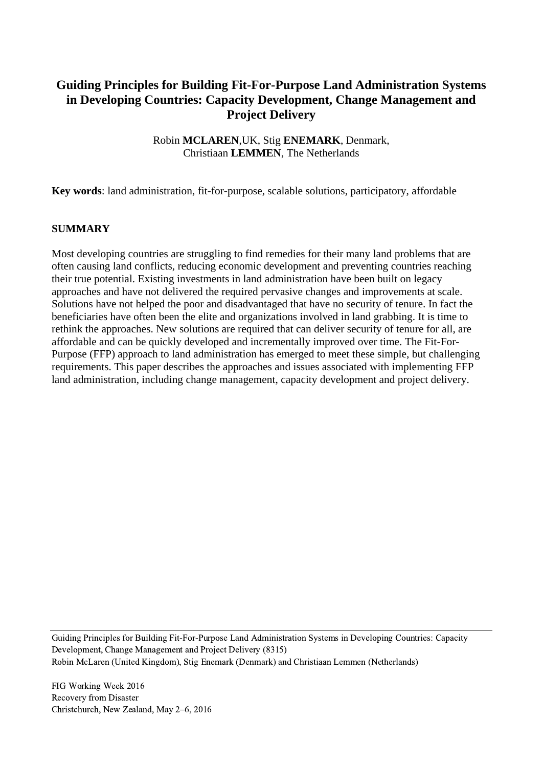# **Guiding Principles for Building Fit-For-Purpose Land Administration Systems in Developing Countries: Capacity Development, Change Management and Project Delivery**

Robin **MCLAREN**,UK, Stig **ENEMARK**, Denmark, Christiaan **LEMMEN**, The Netherlands

**Key words**: land administration, fit-for-purpose, scalable solutions, participatory, affordable

#### **SUMMARY**

Most developing countries are struggling to find remedies for their many land problems that are often causing land conflicts, reducing economic development and preventing countries reaching their true potential. Existing investments in land administration have been built on legacy approaches and have not delivered the required pervasive changes and improvements at scale. Solutions have not helped the poor and disadvantaged that have no security of tenure. In fact the beneficiaries have often been the elite and organizations involved in land grabbing. It is time to rethink the approaches. New solutions are required that can deliver security of tenure for all, are affordable and can be quickly developed and incrementally improved over time. The Fit-For-Purpose (FFP) approach to land administration has emerged to meet these simple, but challenging requirements. This paper describes the approaches and issues associated with implementing FFP land administration, including change management, capacity development and project delivery.

Guiding Principles for Building Fit-For-Purpose Land Administration Systems in Developing Countries: Capacity Development, Change Management and Project Delivery (8315) Robin McLaren (United Kingdom), Stig Enemark (Denmark) and Christiaan Lemmen (Netherlands)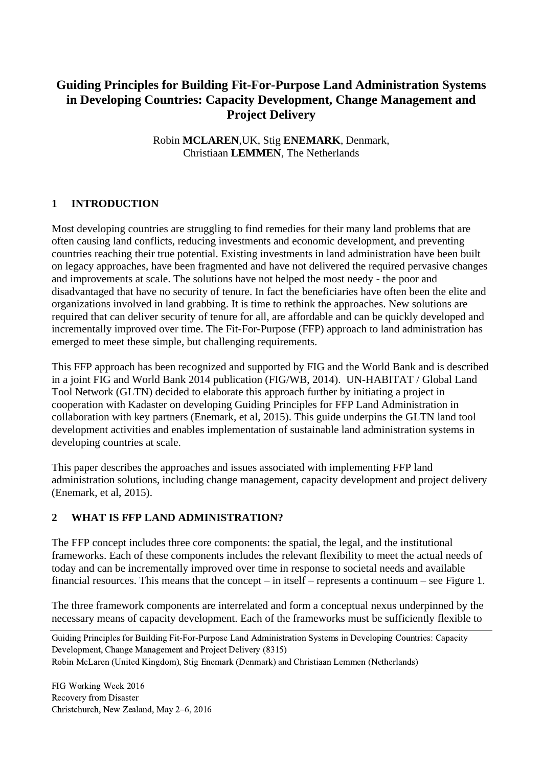# **Guiding Principles for Building Fit-For-Purpose Land Administration Systems in Developing Countries: Capacity Development, Change Management and Project Delivery**

Robin **MCLAREN**,UK, Stig **ENEMARK**, Denmark, Christiaan **LEMMEN**, The Netherlands

## **1 INTRODUCTION**

Most developing countries are struggling to find remedies for their many land problems that are often causing land conflicts, reducing investments and economic development, and preventing countries reaching their true potential. Existing investments in land administration have been built on legacy approaches, have been fragmented and have not delivered the required pervasive changes and improvements at scale. The solutions have not helped the most needy - the poor and disadvantaged that have no security of tenure. In fact the beneficiaries have often been the elite and organizations involved in land grabbing. It is time to rethink the approaches. New solutions are required that can deliver security of tenure for all, are affordable and can be quickly developed and incrementally improved over time. The Fit-For-Purpose (FFP) approach to land administration has emerged to meet these simple, but challenging requirements.

This FFP approach has been recognized and supported by FIG and the World Bank and is described in a joint FIG and World Bank 2014 publication (FIG/WB, 2014). UN-HABITAT / Global Land Tool Network (GLTN) decided to elaborate this approach further by initiating a project in cooperation with Kadaster on developing Guiding Principles for FFP Land Administration in collaboration with key partners (Enemark, et al, 2015). This guide underpins the GLTN land tool development activities and enables implementation of sustainable land administration systems in developing countries at scale.

This paper describes the approaches and issues associated with implementing FFP land administration solutions, including change management, capacity development and project delivery (Enemark, et al, 2015).

## **2 WHAT IS FFP LAND ADMINISTRATION?**

The FFP concept includes three core components: the spatial, the legal, and the institutional frameworks. Each of these components includes the relevant flexibility to meet the actual needs of today and can be incrementally improved over time in response to societal needs and available financial resources. This means that the concept – in itself – represents a continuum – see Figure 1.

The three framework components are interrelated and form a conceptual nexus underpinned by the necessary means of capacity development. Each of the frameworks must be sufficiently flexible to

Guiding Principles for Building Fit-For-Purpose Land Administration Systems in Developing Countries: Capacity Development, Change Management and Project Delivery (8315)

Robin McLaren (United Kingdom), Stig Enemark (Denmark) and Christiaan Lemmen (Netherlands)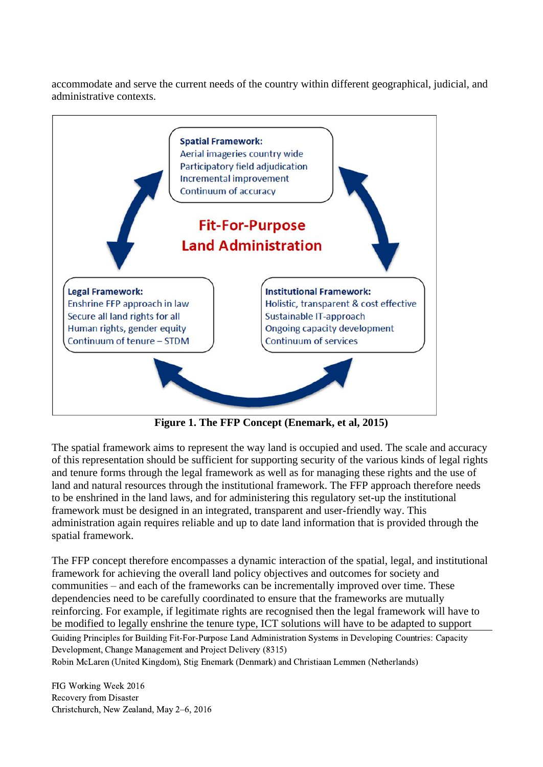accommodate and serve the current needs of the country within different geographical, judicial, and administrative contexts.



**Figure 1. The FFP Concept (Enemark, et al, 2015)**

The spatial framework aims to represent the way land is occupied and used. The scale and accuracy of this representation should be sufficient for supporting security of the various kinds of legal rights and tenure forms through the legal framework as well as for managing these rights and the use of land and natural resources through the institutional framework. The FFP approach therefore needs to be enshrined in the land laws, and for administering this regulatory set-up the institutional framework must be designed in an integrated, transparent and user-friendly way. This administration again requires reliable and up to date land information that is provided through the spatial framework.

The FFP concept therefore encompasses a dynamic interaction of the spatial, legal, and institutional framework for achieving the overall land policy objectives and outcomes for society and communities – and each of the frameworks can be incrementally improved over time. These dependencies need to be carefully coordinated to ensure that the frameworks are mutually reinforcing. For example, if legitimate rights are recognised then the legal framework will have to be modified to legally enshrine the tenure type, ICT solutions will have to be adapted to support

Guiding Principles for Building Fit-For-Purpose Land Administration Systems in Developing Countries: Capacity Development, Change Management and Project Delivery (8315)

Robin McLaren (United Kingdom), Stig Enemark (Denmark) and Christiaan Lemmen (Netherlands)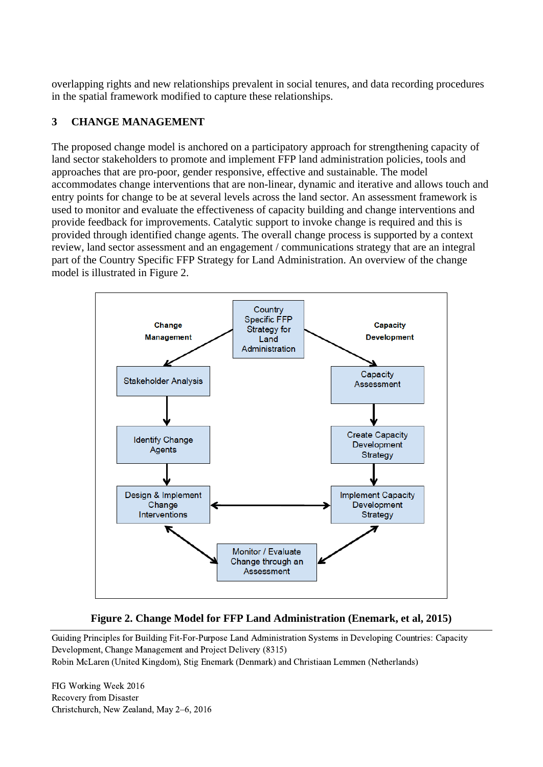overlapping rights and new relationships prevalent in social tenures, and data recording procedures in the spatial framework modified to capture these relationships.

# **3 CHANGE MANAGEMENT**

The proposed change model is anchored on a participatory approach for strengthening capacity of land sector stakeholders to promote and implement FFP land administration policies, tools and approaches that are pro-poor, gender responsive, effective and sustainable. The model accommodates change interventions that are non-linear, dynamic and iterative and allows touch and entry points for change to be at several levels across the land sector. An assessment framework is used to monitor and evaluate the effectiveness of capacity building and change interventions and provide feedback for improvements. Catalytic support to invoke change is required and this is provided through identified change agents. The overall change process is supported by a context review, land sector assessment and an engagement / communications strategy that are an integral part of the Country Specific FFP Strategy for Land Administration. An overview of the change model is illustrated in Figure 2.



## **Figure 2. Change Model for FFP Land Administration (Enemark, et al, 2015)**

Guiding Principles for Building Fit-For-Purpose Land Administration Systems in Developing Countries: Capacity Development, Change Management and Project Delivery (8315) Robin McLaren (United Kingdom), Stig Enemark (Denmark) and Christiaan Lemmen (Netherlands)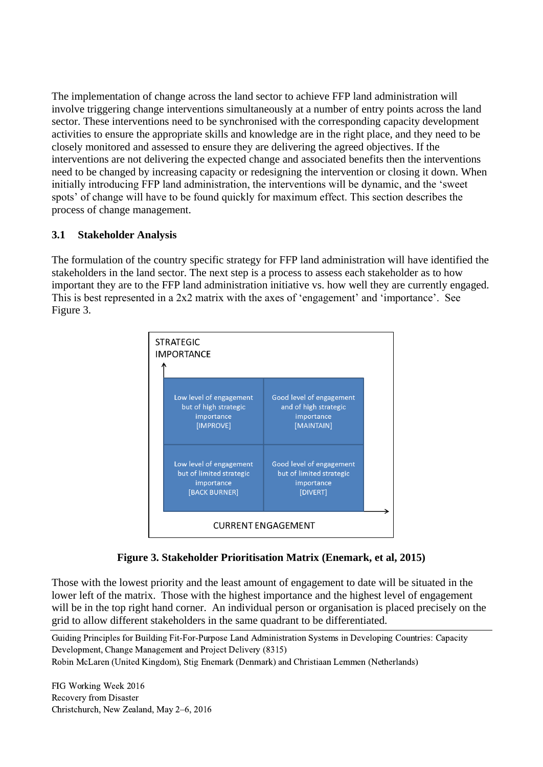The implementation of change across the land sector to achieve FFP land administration will involve triggering change interventions simultaneously at a number of entry points across the land sector. These interventions need to be synchronised with the corresponding capacity development activities to ensure the appropriate skills and knowledge are in the right place, and they need to be closely monitored and assessed to ensure they are delivering the agreed objectives. If the interventions are not delivering the expected change and associated benefits then the interventions need to be changed by increasing capacity or redesigning the intervention or closing it down. When initially introducing FFP land administration, the interventions will be dynamic, and the 'sweet spots' of change will have to be found quickly for maximum effect. This section describes the process of change management.

# **3.1 Stakeholder Analysis**

The formulation of the country specific strategy for FFP land administration will have identified the stakeholders in the land sector. The next step is a process to assess each stakeholder as to how important they are to the FFP land administration initiative vs. how well they are currently engaged. This is best represented in a 2x2 matrix with the axes of 'engagement' and 'importance'. See Figure 3.





Those with the lowest priority and the least amount of engagement to date will be situated in the lower left of the matrix. Those with the highest importance and the highest level of engagement will be in the top right hand corner. An individual person or organisation is placed precisely on the grid to allow different stakeholders in the same quadrant to be differentiated.

Guiding Principles for Building Fit-For-Purpose Land Administration Systems in Developing Countries: Capacity Development, Change Management and Project Delivery (8315)

Robin McLaren (United Kingdom), Stig Enemark (Denmark) and Christiaan Lemmen (Netherlands)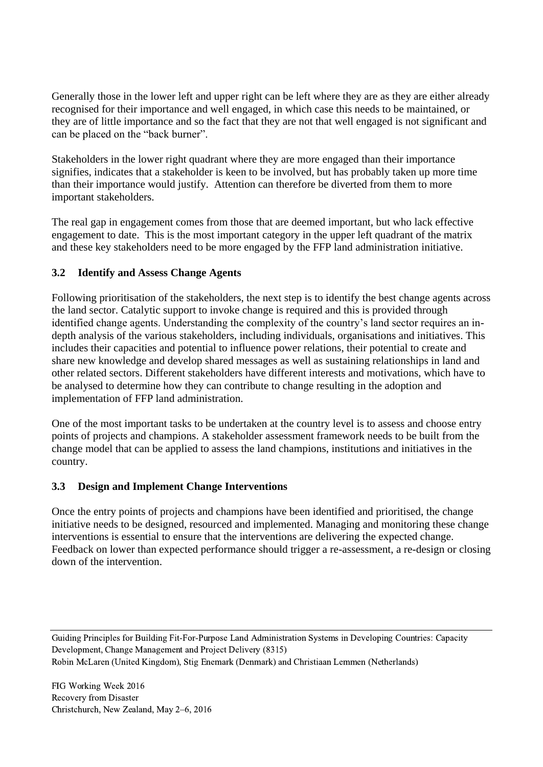Generally those in the lower left and upper right can be left where they are as they are either already recognised for their importance and well engaged, in which case this needs to be maintained, or they are of little importance and so the fact that they are not that well engaged is not significant and can be placed on the "back burner".

Stakeholders in the lower right quadrant where they are more engaged than their importance signifies, indicates that a stakeholder is keen to be involved, but has probably taken up more time than their importance would justify. Attention can therefore be diverted from them to more important stakeholders.

The real gap in engagement comes from those that are deemed important, but who lack effective engagement to date. This is the most important category in the upper left quadrant of the matrix and these key stakeholders need to be more engaged by the FFP land administration initiative.

## **3.2 Identify and Assess Change Agents**

Following prioritisation of the stakeholders, the next step is to identify the best change agents across the land sector. Catalytic support to invoke change is required and this is provided through identified change agents. Understanding the complexity of the country's land sector requires an indepth analysis of the various stakeholders, including individuals, organisations and initiatives. This includes their capacities and potential to influence power relations, their potential to create and share new knowledge and develop shared messages as well as sustaining relationships in land and other related sectors. Different stakeholders have different interests and motivations, which have to be analysed to determine how they can contribute to change resulting in the adoption and implementation of FFP land administration.

One of the most important tasks to be undertaken at the country level is to assess and choose entry points of projects and champions. A stakeholder assessment framework needs to be built from the change model that can be applied to assess the land champions, institutions and initiatives in the country.

## **3.3 Design and Implement Change Interventions**

Once the entry points of projects and champions have been identified and prioritised, the change initiative needs to be designed, resourced and implemented. Managing and monitoring these change interventions is essential to ensure that the interventions are delivering the expected change. Feedback on lower than expected performance should trigger a re-assessment, a re-design or closing down of the intervention.

Guiding Principles for Building Fit-For-Purpose Land Administration Systems in Developing Countries: Capacity Development, Change Management and Project Delivery (8315) Robin McLaren (United Kingdom), Stig Enemark (Denmark) and Christiaan Lemmen (Netherlands)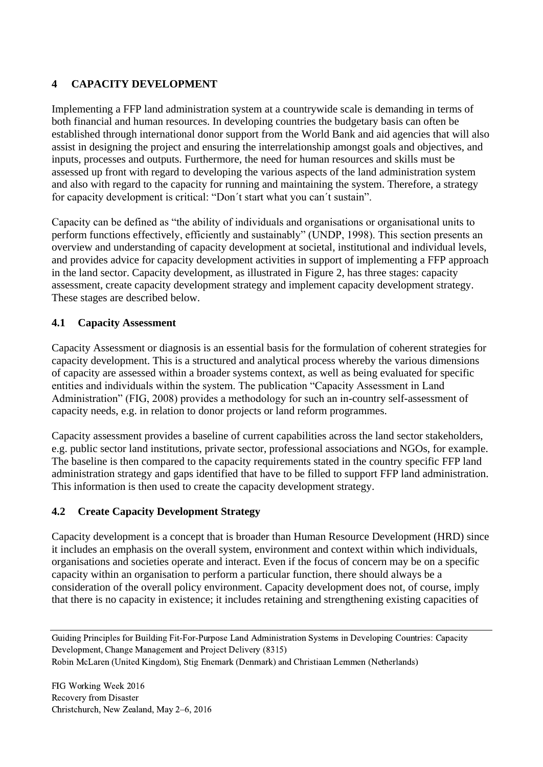# **4 CAPACITY DEVELOPMENT**

Implementing a FFP land administration system at a countrywide scale is demanding in terms of both financial and human resources. In developing countries the budgetary basis can often be established through international donor support from the World Bank and aid agencies that will also assist in designing the project and ensuring the interrelationship amongst goals and objectives, and inputs, processes and outputs. Furthermore, the need for human resources and skills must be assessed up front with regard to developing the various aspects of the land administration system and also with regard to the capacity for running and maintaining the system. Therefore, a strategy for capacity development is critical: "Don´t start what you can´t sustain".

Capacity can be defined as "the ability of individuals and organisations or organisational units to perform functions effectively, efficiently and sustainably" (UNDP, 1998). This section presents an overview and understanding of capacity development at societal, institutional and individual levels, and provides advice for capacity development activities in support of implementing a FFP approach in the land sector. Capacity development, as illustrated in Figure 2, has three stages: capacity assessment, create capacity development strategy and implement capacity development strategy. These stages are described below.

## **4.1 Capacity Assessment**

Capacity Assessment or diagnosis is an essential basis for the formulation of coherent strategies for capacity development. This is a structured and analytical process whereby the various dimensions of capacity are assessed within a broader systems context, as well as being evaluated for specific entities and individuals within the system. The publication "Capacity Assessment in Land Administration" (FIG, 2008) provides a methodology for such an in-country self-assessment of capacity needs, e.g. in relation to donor projects or land reform programmes.

Capacity assessment provides a baseline of current capabilities across the land sector stakeholders, e.g. public sector land institutions, private sector, professional associations and NGOs, for example. The baseline is then compared to the capacity requirements stated in the country specific FFP land administration strategy and gaps identified that have to be filled to support FFP land administration. This information is then used to create the capacity development strategy.

## **4.2 Create Capacity Development Strategy**

Capacity development is a concept that is broader than Human Resource Development (HRD) since it includes an emphasis on the overall system, environment and context within which individuals, organisations and societies operate and interact. Even if the focus of concern may be on a specific capacity within an organisation to perform a particular function, there should always be a consideration of the overall policy environment. Capacity development does not, of course, imply that there is no capacity in existence; it includes retaining and strengthening existing capacities of

Guiding Principles for Building Fit-For-Purpose Land Administration Systems in Developing Countries: Capacity Development, Change Management and Project Delivery (8315)

```
Robin McLaren (United Kingdom), Stig Enemark (Denmark) and Christiaan Lemmen (Netherlands)
```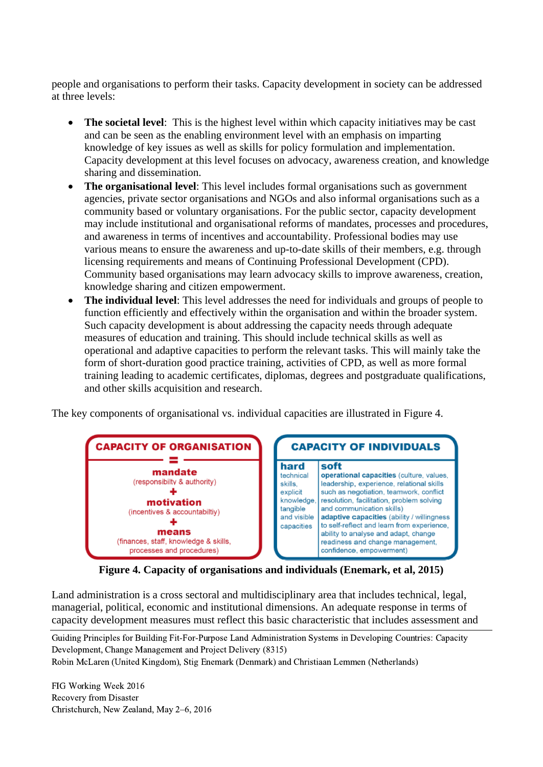people and organisations to perform their tasks. Capacity development in society can be addressed at three levels:

- **The societal level**: This is the highest level within which capacity initiatives may be cast and can be seen as the enabling environment level with an emphasis on imparting knowledge of key issues as well as skills for policy formulation and implementation. Capacity development at this level focuses on advocacy, awareness creation, and knowledge sharing and dissemination.
- **The organisational level**: This level includes formal organisations such as government agencies, private sector organisations and NGOs and also informal organisations such as a community based or voluntary organisations. For the public sector, capacity development may include institutional and organisational reforms of mandates, processes and procedures, and awareness in terms of incentives and accountability. Professional bodies may use various means to ensure the awareness and up-to-date skills of their members, e.g. through licensing requirements and means of Continuing Professional Development (CPD). Community based organisations may learn advocacy skills to improve awareness, creation, knowledge sharing and citizen empowerment.
- **The individual level**: This level addresses the need for individuals and groups of people to function efficiently and effectively within the organisation and within the broader system. Such capacity development is about addressing the capacity needs through adequate measures of education and training. This should include technical skills as well as operational and adaptive capacities to perform the relevant tasks. This will mainly take the form of short-duration good practice training, activities of CPD, as well as more formal training leading to academic certificates, diplomas, degrees and postgraduate qualifications, and other skills acquisition and research.

The key components of organisational vs. individual capacities are illustrated in Figure 4.



**Figure 4. Capacity of organisations and individuals (Enemark, et al, 2015)**

Land administration is a cross sectoral and multidisciplinary area that includes technical, legal, managerial, political, economic and institutional dimensions. An adequate response in terms of capacity development measures must reflect this basic characteristic that includes assessment and

Guiding Principles for Building Fit-For-Purpose Land Administration Systems in Developing Countries: Capacity Development, Change Management and Project Delivery (8315)

Robin McLaren (United Kingdom), Stig Enemark (Denmark) and Christiaan Lemmen (Netherlands)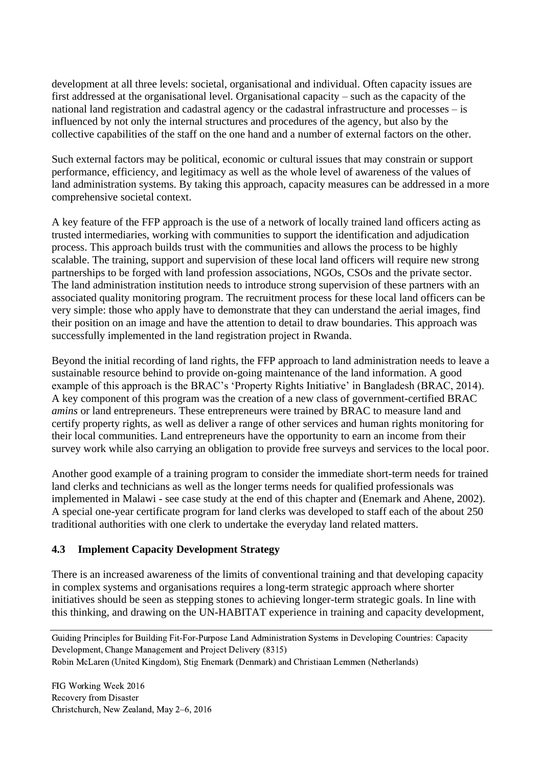development at all three levels: societal, organisational and individual. Often capacity issues are first addressed at the organisational level. Organisational capacity – such as the capacity of the national land registration and cadastral agency or the cadastral infrastructure and processes – is influenced by not only the internal structures and procedures of the agency, but also by the collective capabilities of the staff on the one hand and a number of external factors on the other.

Such external factors may be political, economic or cultural issues that may constrain or support performance, efficiency, and legitimacy as well as the whole level of awareness of the values of land administration systems. By taking this approach, capacity measures can be addressed in a more comprehensive societal context.

A key feature of the FFP approach is the use of a network of locally trained land officers acting as trusted intermediaries, working with communities to support the identification and adjudication process. This approach builds trust with the communities and allows the process to be highly scalable. The training, support and supervision of these local land officers will require new strong partnerships to be forged with land profession associations, NGOs, CSOs and the private sector. The land administration institution needs to introduce strong supervision of these partners with an associated quality monitoring program. The recruitment process for these local land officers can be very simple: those who apply have to demonstrate that they can understand the aerial images, find their position on an image and have the attention to detail to draw boundaries. This approach was successfully implemented in the land registration project in Rwanda.

Beyond the initial recording of land rights, the FFP approach to land administration needs to leave a sustainable resource behind to provide on-going maintenance of the land information. A good example of this approach is the BRAC's 'Property Rights Initiative' in Bangladesh (BRAC, 2014). A key component of this program was the creation of a new class of government-certified BRAC *amins* or land entrepreneurs. These entrepreneurs were trained by BRAC to measure land and certify property rights, as well as deliver a range of other services and human rights monitoring for their local communities. Land entrepreneurs have the opportunity to earn an income from their survey work while also carrying an obligation to provide free surveys and services to the local poor.

Another good example of a training program to consider the immediate short-term needs for trained land clerks and technicians as well as the longer terms needs for qualified professionals was implemented in Malawi - see case study at the end of this chapter and (Enemark and Ahene, 2002). A special one-year certificate program for land clerks was developed to staff each of the about 250 traditional authorities with one clerk to undertake the everyday land related matters.

## **4.3 Implement Capacity Development Strategy**

There is an increased awareness of the limits of conventional training and that developing capacity in complex systems and organisations requires a long-term strategic approach where shorter initiatives should be seen as stepping stones to achieving longer-term strategic goals. In line with this thinking, and drawing on the UN-HABITAT experience in training and capacity development,

Guiding Principles for Building Fit-For-Purpose Land Administration Systems in Developing Countries: Capacity Development, Change Management and Project Delivery (8315)

```
Robin McLaren (United Kingdom), Stig Enemark (Denmark) and Christiaan Lemmen (Netherlands)
```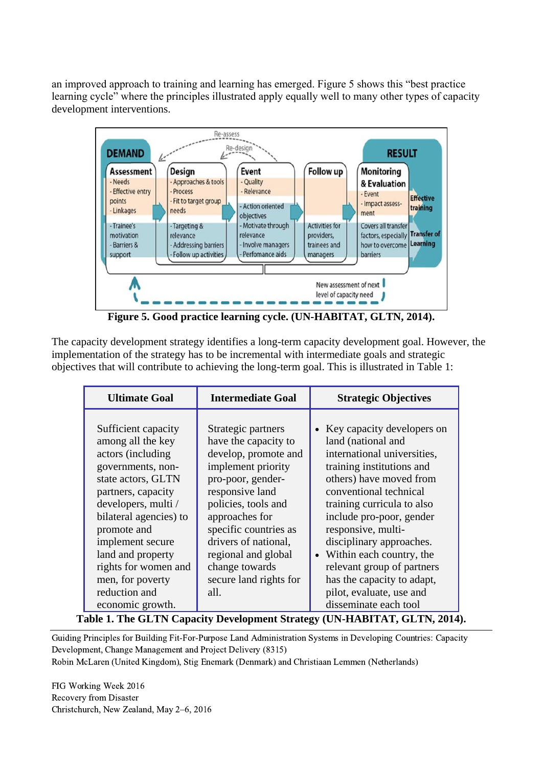an improved approach to training and learning has emerged. Figure 5 shows this "best practice learning cycle" where the principles illustrated apply equally well to many other types of capacity development interventions.



**Figure 5. Good practice learning cycle. (UN-HABITAT, GLTN, 2014).**

The capacity development strategy identifies a long-term capacity development goal. However, the implementation of the strategy has to be incremental with intermediate goals and strategic objectives that will contribute to achieving the long-term goal. This is illustrated in Table 1:

| <b>Ultimate Goal</b>                                                                                                                                                                                                                                                                                                     | <b>Intermediate Goal</b>                                                                                                                                                                                                                                                                              | <b>Strategic Objectives</b>                                                                                                                                                                                                                                                                                                                                                                                                               |
|--------------------------------------------------------------------------------------------------------------------------------------------------------------------------------------------------------------------------------------------------------------------------------------------------------------------------|-------------------------------------------------------------------------------------------------------------------------------------------------------------------------------------------------------------------------------------------------------------------------------------------------------|-------------------------------------------------------------------------------------------------------------------------------------------------------------------------------------------------------------------------------------------------------------------------------------------------------------------------------------------------------------------------------------------------------------------------------------------|
| Sufficient capacity<br>among all the key<br>actors (including<br>governments, non-<br>state actors, GLTN<br>partners, capacity<br>developers, multi /<br>bilateral agencies) to<br>promote and<br>implement secure<br>land and property<br>rights for women and<br>men, for poverty<br>reduction and<br>economic growth. | Strategic partners<br>have the capacity to<br>develop, promote and<br>implement priority<br>pro-poor, gender-<br>responsive land<br>policies, tools and<br>approaches for<br>specific countries as<br>drivers of national,<br>regional and global<br>change towards<br>secure land rights for<br>all. | • Key capacity developers on<br>land (national and<br>international universities,<br>training institutions and<br>others) have moved from<br>conventional technical<br>training curricula to also<br>include pro-poor, gender<br>responsive, multi-<br>disciplinary approaches.<br>Within each country, the<br>$\bullet$<br>relevant group of partners<br>has the capacity to adapt,<br>pilot, evaluate, use and<br>disseminate each tool |

**Table 1. The GLTN Capacity Development Strategy (UN-HABITAT, GLTN, 2014).**

Guiding Principles for Building Fit-For-Purpose Land Administration Systems in Developing Countries: Capacity Development, Change Management and Project Delivery (8315)

Robin McLaren (United Kingdom), Stig Enemark (Denmark) and Christiaan Lemmen (Netherlands)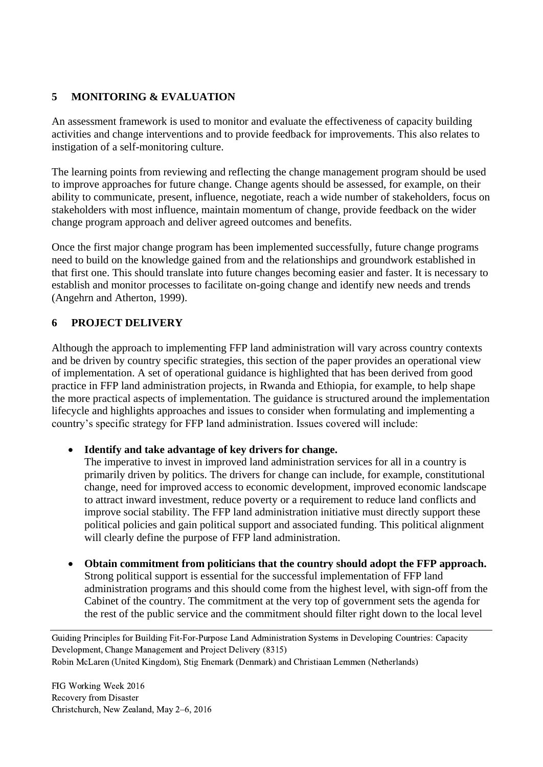# **5 MONITORING & EVALUATION**

An assessment framework is used to monitor and evaluate the effectiveness of capacity building activities and change interventions and to provide feedback for improvements. This also relates to instigation of a self-monitoring culture.

The learning points from reviewing and reflecting the change management program should be used to improve approaches for future change. Change agents should be assessed, for example, on their ability to communicate, present, influence, negotiate, reach a wide number of stakeholders, focus on stakeholders with most influence, maintain momentum of change, provide feedback on the wider change program approach and deliver agreed outcomes and benefits.

Once the first major change program has been implemented successfully, future change programs need to build on the knowledge gained from and the relationships and groundwork established in that first one. This should translate into future changes becoming easier and faster. It is necessary to establish and monitor processes to facilitate on-going change and identify new needs and trends (Angehrn and Atherton, 1999).

# **6 PROJECT DELIVERY**

Although the approach to implementing FFP land administration will vary across country contexts and be driven by country specific strategies, this section of the paper provides an operational view of implementation. A set of operational guidance is highlighted that has been derived from good practice in FFP land administration projects, in Rwanda and Ethiopia, for example, to help shape the more practical aspects of implementation. The guidance is structured around the implementation lifecycle and highlights approaches and issues to consider when formulating and implementing a country's specific strategy for FFP land administration. Issues covered will include:

## **Identify and take advantage of key drivers for change.**

The imperative to invest in improved land administration services for all in a country is primarily driven by politics. The drivers for change can include, for example, constitutional change, need for improved access to economic development, improved economic landscape to attract inward investment, reduce poverty or a requirement to reduce land conflicts and improve social stability. The FFP land administration initiative must directly support these political policies and gain political support and associated funding. This political alignment will clearly define the purpose of FFP land administration.

 **Obtain commitment from politicians that the country should adopt the FFP approach.** Strong political support is essential for the successful implementation of FFP land administration programs and this should come from the highest level, with sign-off from the Cabinet of the country. The commitment at the very top of government sets the agenda for the rest of the public service and the commitment should filter right down to the local level

Guiding Principles for Building Fit-For-Purpose Land Administration Systems in Developing Countries: Capacity Development, Change Management and Project Delivery (8315)

Robin McLaren (United Kingdom), Stig Enemark (Denmark) and Christiaan Lemmen (Netherlands)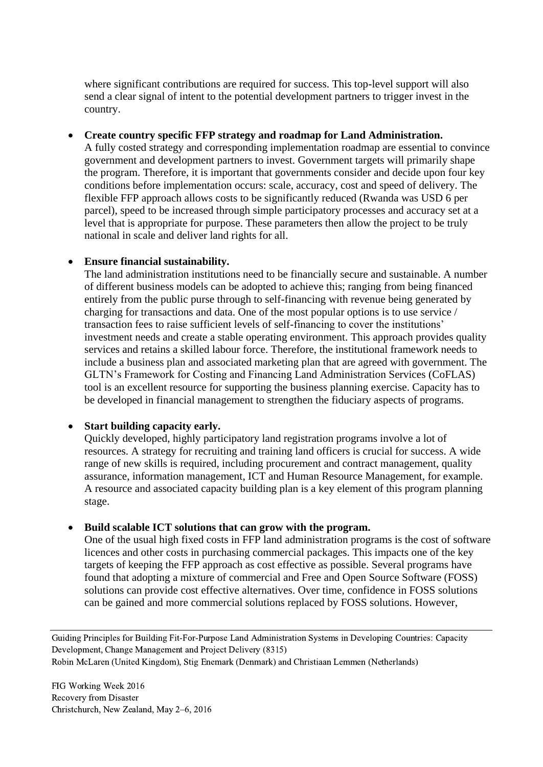where significant contributions are required for success. This top-level support will also send a clear signal of intent to the potential development partners to trigger invest in the country.

### **Create country specific FFP strategy and roadmap for Land Administration.**

A fully costed strategy and corresponding implementation roadmap are essential to convince government and development partners to invest. Government targets will primarily shape the program. Therefore, it is important that governments consider and decide upon four key conditions before implementation occurs: scale, accuracy, cost and speed of delivery. The flexible FFP approach allows costs to be significantly reduced (Rwanda was USD 6 per parcel), speed to be increased through simple participatory processes and accuracy set at a level that is appropriate for purpose. These parameters then allow the project to be truly national in scale and deliver land rights for all.

### **Ensure financial sustainability.**

The land administration institutions need to be financially secure and sustainable. A number of different business models can be adopted to achieve this; ranging from being financed entirely from the public purse through to self-financing with revenue being generated by charging for transactions and data. One of the most popular options is to use service / transaction fees to raise sufficient levels of self-financing to cover the institutions' investment needs and create a stable operating environment. This approach provides quality services and retains a skilled labour force. Therefore, the institutional framework needs to include a business plan and associated marketing plan that are agreed with government. The GLTN's Framework for Costing and Financing Land Administration Services (CoFLAS) tool is an excellent resource for supporting the business planning exercise. Capacity has to be developed in financial management to strengthen the fiduciary aspects of programs.

#### **Start building capacity early.**

Quickly developed, highly participatory land registration programs involve a lot of resources. A strategy for recruiting and training land officers is crucial for success. A wide range of new skills is required, including procurement and contract management, quality assurance, information management, ICT and Human Resource Management, for example. A resource and associated capacity building plan is a key element of this program planning stage.

#### **Build scalable ICT solutions that can grow with the program.**

One of the usual high fixed costs in FFP land administration programs is the cost of software licences and other costs in purchasing commercial packages. This impacts one of the key targets of keeping the FFP approach as cost effective as possible. Several programs have found that adopting a mixture of commercial and Free and Open Source Software (FOSS) solutions can provide cost effective alternatives. Over time, confidence in FOSS solutions can be gained and more commercial solutions replaced by FOSS solutions. However,

Guiding Principles for Building Fit-For-Purpose Land Administration Systems in Developing Countries: Capacity Development, Change Management and Project Delivery (8315)

Robin McLaren (United Kingdom), Stig Enemark (Denmark) and Christiaan Lemmen (Netherlands)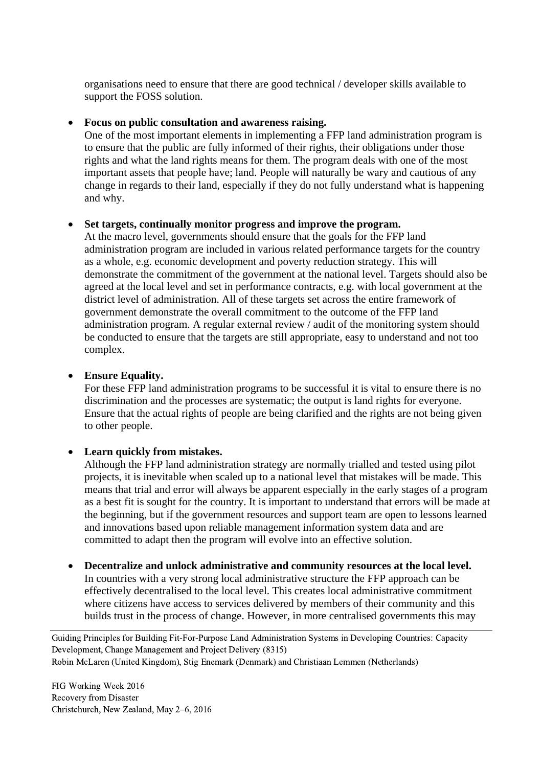organisations need to ensure that there are good technical / developer skills available to support the FOSS solution.

### **Focus on public consultation and awareness raising.**

One of the most important elements in implementing a FFP land administration program is to ensure that the public are fully informed of their rights, their obligations under those rights and what the land rights means for them. The program deals with one of the most important assets that people have; land. People will naturally be wary and cautious of any change in regards to their land, especially if they do not fully understand what is happening and why.

### **Set targets, continually monitor progress and improve the program.**

At the macro level, governments should ensure that the goals for the FFP land administration program are included in various related performance targets for the country as a whole, e.g. economic development and poverty reduction strategy. This will demonstrate the commitment of the government at the national level. Targets should also be agreed at the local level and set in performance contracts, e.g. with local government at the district level of administration. All of these targets set across the entire framework of government demonstrate the overall commitment to the outcome of the FFP land administration program. A regular external review / audit of the monitoring system should be conducted to ensure that the targets are still appropriate, easy to understand and not too complex.

## **Ensure Equality.**

For these FFP land administration programs to be successful it is vital to ensure there is no discrimination and the processes are systematic; the output is land rights for everyone. Ensure that the actual rights of people are being clarified and the rights are not being given to other people.

## **Learn quickly from mistakes.**

Although the FFP land administration strategy are normally trialled and tested using pilot projects, it is inevitable when scaled up to a national level that mistakes will be made. This means that trial and error will always be apparent especially in the early stages of a program as a best fit is sought for the country. It is important to understand that errors will be made at the beginning, but if the government resources and support team are open to lessons learned and innovations based upon reliable management information system data and are committed to adapt then the program will evolve into an effective solution.

 **Decentralize and unlock administrative and community resources at the local level.** In countries with a very strong local administrative structure the FFP approach can be effectively decentralised to the local level. This creates local administrative commitment where citizens have access to services delivered by members of their community and this builds trust in the process of change. However, in more centralised governments this may

Guiding Principles for Building Fit-For-Purpose Land Administration Systems in Developing Countries: Capacity Development, Change Management and Project Delivery (8315) Robin McLaren (United Kingdom), Stig Enemark (Denmark) and Christiaan Lemmen (Netherlands)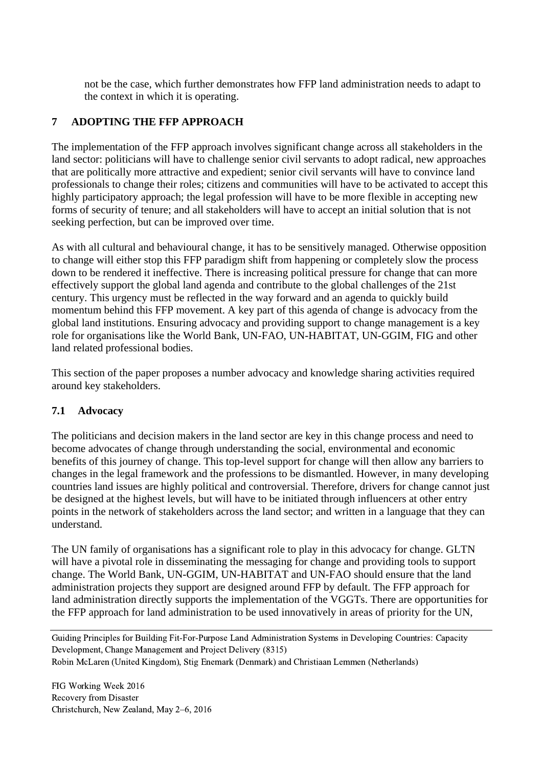not be the case, which further demonstrates how FFP land administration needs to adapt to the context in which it is operating.

# **7 ADOPTING THE FFP APPROACH**

The implementation of the FFP approach involves significant change across all stakeholders in the land sector: politicians will have to challenge senior civil servants to adopt radical, new approaches that are politically more attractive and expedient; senior civil servants will have to convince land professionals to change their roles; citizens and communities will have to be activated to accept this highly participatory approach; the legal profession will have to be more flexible in accepting new forms of security of tenure; and all stakeholders will have to accept an initial solution that is not seeking perfection, but can be improved over time.

As with all cultural and behavioural change, it has to be sensitively managed. Otherwise opposition to change will either stop this FFP paradigm shift from happening or completely slow the process down to be rendered it ineffective. There is increasing political pressure for change that can more effectively support the global land agenda and contribute to the global challenges of the 21st century. This urgency must be reflected in the way forward and an agenda to quickly build momentum behind this FFP movement. A key part of this agenda of change is advocacy from the global land institutions. Ensuring advocacy and providing support to change management is a key role for organisations like the World Bank, UN-FAO, UN-HABITAT, UN-GGIM, FIG and other land related professional bodies.

This section of the paper proposes a number advocacy and knowledge sharing activities required around key stakeholders.

## **7.1 Advocacy**

The politicians and decision makers in the land sector are key in this change process and need to become advocates of change through understanding the social, environmental and economic benefits of this journey of change. This top-level support for change will then allow any barriers to changes in the legal framework and the professions to be dismantled. However, in many developing countries land issues are highly political and controversial. Therefore, drivers for change cannot just be designed at the highest levels, but will have to be initiated through influencers at other entry points in the network of stakeholders across the land sector; and written in a language that they can understand.

The UN family of organisations has a significant role to play in this advocacy for change. GLTN will have a pivotal role in disseminating the messaging for change and providing tools to support change. The World Bank, UN-GGIM, UN-HABITAT and UN-FAO should ensure that the land administration projects they support are designed around FFP by default. The FFP approach for land administration directly supports the implementation of the VGGTs. There are opportunities for the FFP approach for land administration to be used innovatively in areas of priority for the UN,

Guiding Principles for Building Fit-For-Purpose Land Administration Systems in Developing Countries: Capacity Development, Change Management and Project Delivery (8315)

Robin McLaren (United Kingdom), Stig Enemark (Denmark) and Christiaan Lemmen (Netherlands)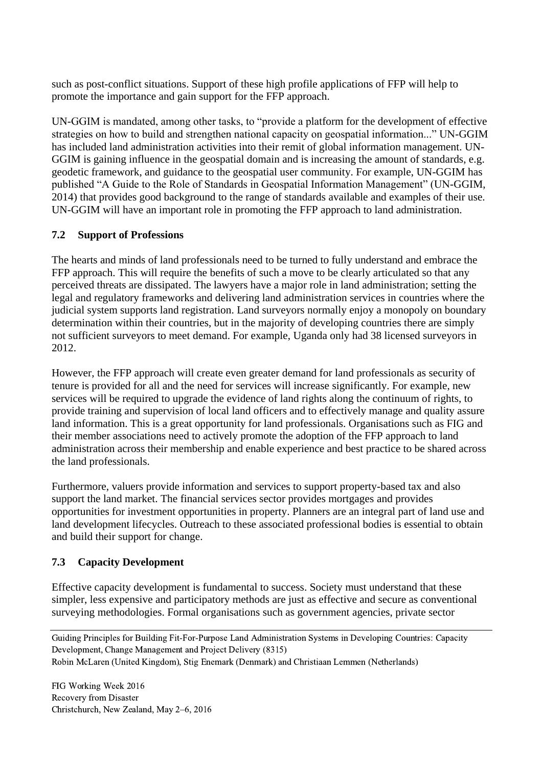such as post-conflict situations. Support of these high profile applications of FFP will help to promote the importance and gain support for the FFP approach.

UN-GGIM is mandated, among other tasks, to "provide a platform for the development of effective strategies on how to build and strengthen national capacity on geospatial information..." UN-GGIM has included land administration activities into their remit of global information management. UN-GGIM is gaining influence in the geospatial domain and is increasing the amount of standards, e.g. geodetic framework, and guidance to the geospatial user community. For example, UN-GGIM has published "A Guide to the Role of Standards in Geospatial Information Management" (UN-GGIM, 2014) that provides good background to the range of standards available and examples of their use. UN-GGIM will have an important role in promoting the FFP approach to land administration.

## **7.2 Support of Professions**

The hearts and minds of land professionals need to be turned to fully understand and embrace the FFP approach. This will require the benefits of such a move to be clearly articulated so that any perceived threats are dissipated. The lawyers have a major role in land administration; setting the legal and regulatory frameworks and delivering land administration services in countries where the judicial system supports land registration. Land surveyors normally enjoy a monopoly on boundary determination within their countries, but in the majority of developing countries there are simply not sufficient surveyors to meet demand. For example, Uganda only had 38 licensed surveyors in 2012.

However, the FFP approach will create even greater demand for land professionals as security of tenure is provided for all and the need for services will increase significantly. For example, new services will be required to upgrade the evidence of land rights along the continuum of rights, to provide training and supervision of local land officers and to effectively manage and quality assure land information. This is a great opportunity for land professionals. Organisations such as FIG and their member associations need to actively promote the adoption of the FFP approach to land administration across their membership and enable experience and best practice to be shared across the land professionals.

Furthermore, valuers provide information and services to support property-based tax and also support the land market. The financial services sector provides mortgages and provides opportunities for investment opportunities in property. Planners are an integral part of land use and land development lifecycles. Outreach to these associated professional bodies is essential to obtain and build their support for change.

## **7.3 Capacity Development**

Effective capacity development is fundamental to success. Society must understand that these simpler, less expensive and participatory methods are just as effective and secure as conventional surveying methodologies. Formal organisations such as government agencies, private sector

Guiding Principles for Building Fit-For-Purpose Land Administration Systems in Developing Countries: Capacity Development, Change Management and Project Delivery (8315)

Robin McLaren (United Kingdom), Stig Enemark (Denmark) and Christiaan Lemmen (Netherlands)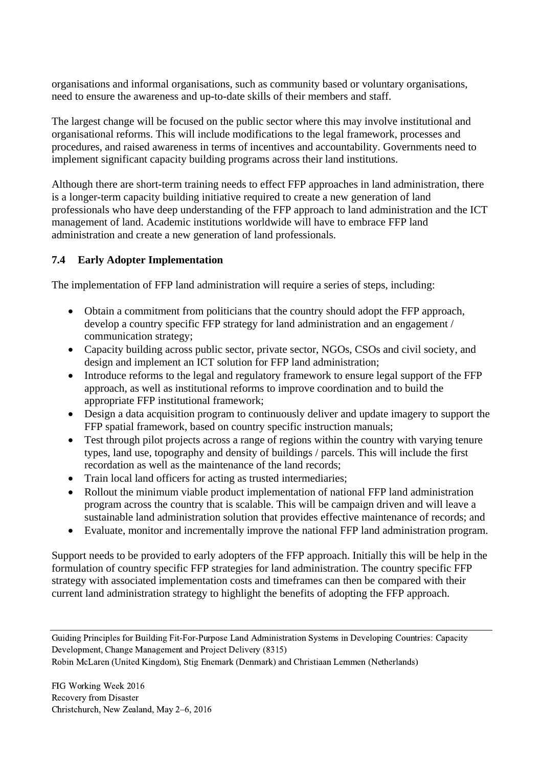organisations and informal organisations, such as community based or voluntary organisations, need to ensure the awareness and up-to-date skills of their members and staff.

The largest change will be focused on the public sector where this may involve institutional and organisational reforms. This will include modifications to the legal framework, processes and procedures, and raised awareness in terms of incentives and accountability. Governments need to implement significant capacity building programs across their land institutions.

Although there are short-term training needs to effect FFP approaches in land administration, there is a longer-term capacity building initiative required to create a new generation of land professionals who have deep understanding of the FFP approach to land administration and the ICT management of land. Academic institutions worldwide will have to embrace FFP land administration and create a new generation of land professionals.

## **7.4 Early Adopter Implementation**

The implementation of FFP land administration will require a series of steps, including:

- Obtain a commitment from politicians that the country should adopt the FFP approach, develop a country specific FFP strategy for land administration and an engagement / communication strategy;
- Capacity building across public sector, private sector, NGOs, CSOs and civil society, and design and implement an ICT solution for FFP land administration;
- Introduce reforms to the legal and regulatory framework to ensure legal support of the FFP approach, as well as institutional reforms to improve coordination and to build the appropriate FFP institutional framework;
- Design a data acquisition program to continuously deliver and update imagery to support the FFP spatial framework, based on country specific instruction manuals;
- Test through pilot projects across a range of regions within the country with varying tenure types, land use, topography and density of buildings / parcels. This will include the first recordation as well as the maintenance of the land records;
- Train local land officers for acting as trusted intermediaries;
- Rollout the minimum viable product implementation of national FFP land administration program across the country that is scalable. This will be campaign driven and will leave a sustainable land administration solution that provides effective maintenance of records; and
- Evaluate, monitor and incrementally improve the national FFP land administration program.

Support needs to be provided to early adopters of the FFP approach. Initially this will be help in the formulation of country specific FFP strategies for land administration. The country specific FFP strategy with associated implementation costs and timeframes can then be compared with their current land administration strategy to highlight the benefits of adopting the FFP approach.

Guiding Principles for Building Fit-For-Purpose Land Administration Systems in Developing Countries: Capacity Development, Change Management and Project Delivery (8315)

Robin McLaren (United Kingdom), Stig Enemark (Denmark) and Christiaan Lemmen (Netherlands)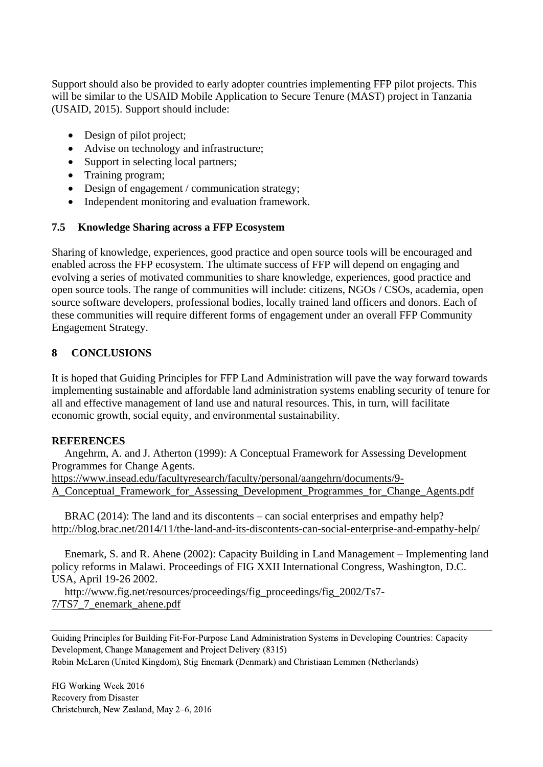Support should also be provided to early adopter countries implementing FFP pilot projects. This will be similar to the USAID Mobile Application to Secure Tenure (MAST) project in Tanzania (USAID, 2015). Support should include:

- Design of pilot project;
- Advise on technology and infrastructure;
- Support in selecting local partners;
- Training program;
- Design of engagement / communication strategy;
- Independent monitoring and evaluation framework.

### **7.5 Knowledge Sharing across a FFP Ecosystem**

Sharing of knowledge, experiences, good practice and open source tools will be encouraged and enabled across the FFP ecosystem. The ultimate success of FFP will depend on engaging and evolving a series of motivated communities to share knowledge, experiences, good practice and open source tools. The range of communities will include: citizens, NGOs / CSOs, academia, open source software developers, professional bodies, locally trained land officers and donors. Each of these communities will require different forms of engagement under an overall FFP Community Engagement Strategy.

## **8 CONCLUSIONS**

It is hoped that Guiding Principles for FFP Land Administration will pave the way forward towards implementing sustainable and affordable land administration systems enabling security of tenure for all and effective management of land use and natural resources. This, in turn, will facilitate economic growth, social equity, and environmental sustainability.

#### **REFERENCES**

Angehrm, A. and J. Atherton (1999): A Conceptual Framework for Assessing Development Programmes for Change Agents.

[https://www.insead.edu/facultyresearch/faculty/personal/aangehrn/documents/9-](https://www.insead.edu/facultyresearch/faculty/personal/aangehrn/documents/9-A_Conceptual_Framework_for_Assessing_Development_Programmes_for_Change_Agents.pdf) [A\\_Conceptual\\_Framework\\_for\\_Assessing\\_Development\\_Programmes\\_for\\_Change\\_Agents.pdf](https://www.insead.edu/facultyresearch/faculty/personal/aangehrn/documents/9-A_Conceptual_Framework_for_Assessing_Development_Programmes_for_Change_Agents.pdf)

BRAC (2014): The land and its discontents – can social enterprises and empathy help? <http://blog.brac.net/2014/11/the-land-and-its-discontents-can-social-enterprise-and-empathy-help/>

Enemark, S. and R. Ahene (2002): Capacity Building in Land Management – Implementing land policy reforms in Malawi. Proceedings of FIG XXII International Congress, Washington, D.C. USA, April 19-26 2002.

[http://www.fig.net/resources/proceedings/fig\\_proceedings/fig\\_2002/Ts7-](http://www.fig.net/resources/proceedings/fig_proceedings/fig_2002/Ts7-7/TS7_7_enemark_ahene.pdf) [7/TS7\\_7\\_enemark\\_ahene.pdf](http://www.fig.net/resources/proceedings/fig_proceedings/fig_2002/Ts7-7/TS7_7_enemark_ahene.pdf)

Guiding Principles for Building Fit-For-Purpose Land Administration Systems in Developing Countries: Capacity Development, Change Management and Project Delivery (8315)

Robin McLaren (United Kingdom), Stig Enemark (Denmark) and Christiaan Lemmen (Netherlands)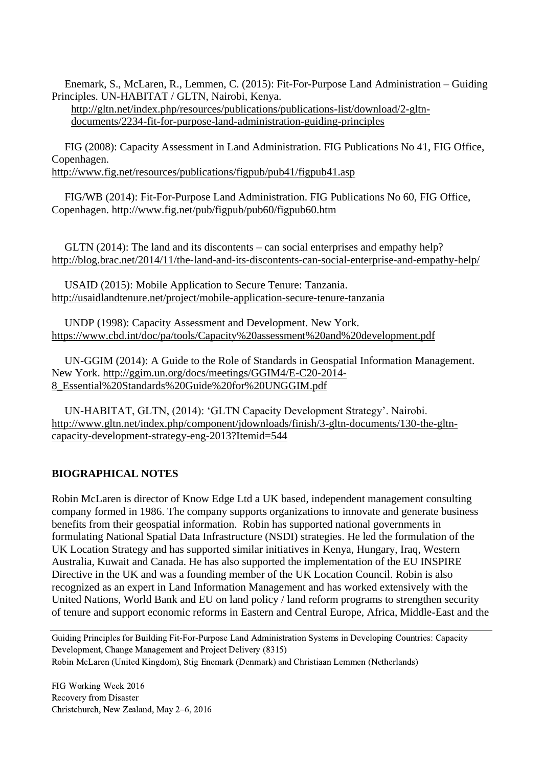Enemark, S., McLaren, R., Lemmen, C. (2015): Fit-For-Purpose Land Administration – Guiding Principles. UN-HABITAT / GLTN, Nairobi, Kenya.

[http://gltn.net/index.php/resources/publications/publications-list/download/2-gltn](http://gltn.net/index.php/resources/publications/publications-list/download/2-gltn-documents/2234-fit-for-purpose-land-administration-guiding-principles)[documents/2234-fit-for-purpose-land-administration-guiding-principles](http://gltn.net/index.php/resources/publications/publications-list/download/2-gltn-documents/2234-fit-for-purpose-land-administration-guiding-principles)

FIG (2008): Capacity Assessment in Land Administration. FIG Publications No 41, FIG Office, Copenhagen. <http://www.fig.net/resources/publications/figpub/pub41/figpub41.asp>

FIG/WB (2014): Fit-For-Purpose Land Administration. FIG Publications No 60, FIG Office, Copenhagen.<http://www.fig.net/pub/figpub/pub60/figpub60.htm>

GLTN (2014): The land and its discontents – can social enterprises and empathy help? <http://blog.brac.net/2014/11/the-land-and-its-discontents-can-social-enterprise-and-empathy-help/>

USAID (2015): Mobile Application to Secure Tenure: Tanzania. <http://usaidlandtenure.net/project/mobile-application-secure-tenure-tanzania>

UNDP (1998): Capacity Assessment and Development. New York. <https://www.cbd.int/doc/pa/tools/Capacity%20assessment%20and%20development.pdf>

UN-GGIM (2014): A Guide to the Role of Standards in Geospatial Information Management. New York. [http://ggim.un.org/docs/meetings/GGIM4/E-C20-2014-](http://ggim.un.org/docs/meetings/GGIM4/E-C20-2014-8_Essential%20Standards%20Guide%20for%20UNGGIM.pdf) [8\\_Essential%20Standards%20Guide%20for%20UNGGIM.pdf](http://ggim.un.org/docs/meetings/GGIM4/E-C20-2014-8_Essential%20Standards%20Guide%20for%20UNGGIM.pdf)

UN-HABITAT, GLTN, (2014): 'GLTN Capacity Development Strategy'. Nairobi. [http://www.gltn.net/index.php/component/jdownloads/finish/3-gltn-documents/130-the-gltn](http://www.gltn.net/index.php/component/jdownloads/finish/3-gltn-documents/130-the-gltn-capacity-development-strategy-eng-2013?Itemid=544)[capacity-development-strategy-eng-2013?Itemid=544](http://www.gltn.net/index.php/component/jdownloads/finish/3-gltn-documents/130-the-gltn-capacity-development-strategy-eng-2013?Itemid=544)

#### **BIOGRAPHICAL NOTES**

Robin McLaren is director of Know Edge Ltd a UK based, independent management consulting company formed in 1986. The company supports organizations to innovate and generate business benefits from their geospatial information. Robin has supported national governments in formulating National Spatial Data Infrastructure (NSDI) strategies. He led the formulation of the UK Location Strategy and has supported similar initiatives in Kenya, Hungary, Iraq, Western Australia, Kuwait and Canada. He has also supported the implementation of the EU INSPIRE Directive in the UK and was a founding member of the UK Location Council. Robin is also recognized as an expert in Land Information Management and has worked extensively with the United Nations, World Bank and EU on land policy / land reform programs to strengthen security of tenure and support economic reforms in Eastern and Central Europe, Africa, Middle-East and the

Guiding Principles for Building Fit-For-Purpose Land Administration Systems in Developing Countries: Capacity Development, Change Management and Project Delivery (8315) Robin McLaren (United Kingdom), Stig Enemark (Denmark) and Christiaan Lemmen (Netherlands)